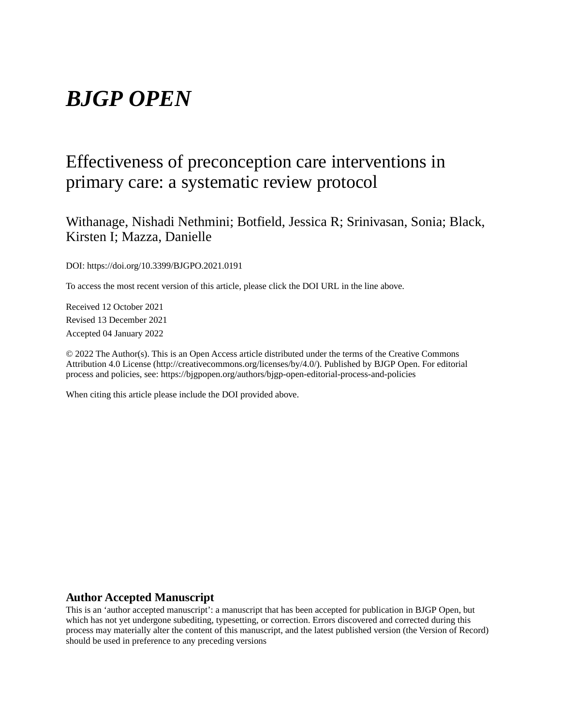# *BJGP OPEN*

# Effectiveness of preconception care interventions in primary care: a systematic review protocol

Withanage, Nishadi Nethmini; Botfield, Jessica R; Srinivasan, Sonia; Black, Kirsten I; Mazza, Danielle

DOI: https://doi.org/10.3399/BJGPO.2021.0191

To access the most recent version of this article, please click the DOI URL in the line above.

Received 12 October 2021 Revised 13 December 2021 Accepted 04 January 2022

© 2022 The Author(s). This is an Open Access article distributed under the terms of the Creative Commons Attribution 4.0 License (http://creativecommons.org/licenses/by/4.0/). Published by BJGP Open. For editorial process and policies, see: https://bjgpopen.org/authors/bjgp-open-editorial-process-and-policies

When citing this article please include the DOI provided above.

#### **Author Accepted Manuscript**

This is an 'author accepted manuscript': a manuscript that has been accepted for publication in BJGP Open, but which has not yet undergone subediting, typesetting, or correction. Errors discovered and corrected during this process may materially alter the content of this manuscript, and the latest published version (the Version of Record) should be used in preference to any preceding versions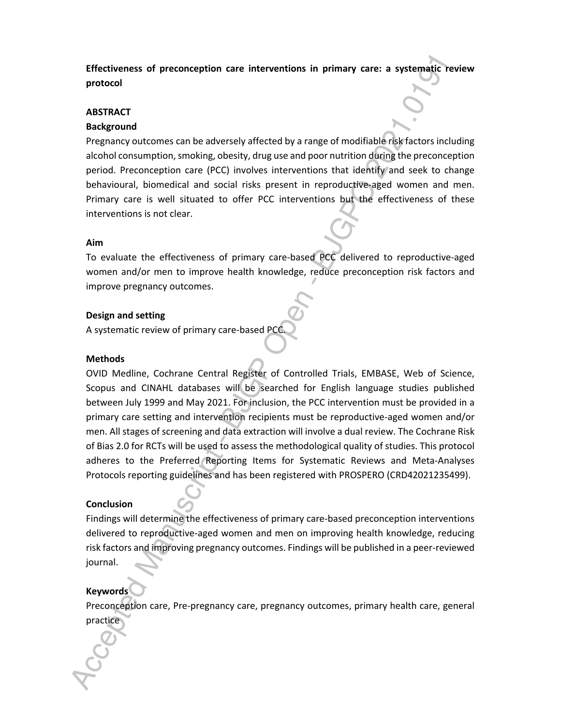**Effectiveness of preconception care interventions in primary care: a systematic review protocol**

#### **ABSTRACT**

#### **Background**

Pregnancy outcomes can be adversely affected by a range of modifiable risk factors including alcohol consumption, smoking, obesity, drug use and poor nutrition during the preconception period. Preconception care (PCC) involves interventions that identify and seek to change behavioural, biomedical and social risks present in reproductive-aged women and men. Primary care is well situated to offer PCC interventions but the effectiveness of these interventions is not clear.

#### **Aim**

To evaluate the effectiveness of primary care-based PCC delivered to reproductive-aged women and/or men to improve health knowledge, reduce preconception risk factors and improve pregnancy outcomes.

#### **Design and setting**

A systematic review of primary care-based PCC.

#### **Methods**

OVID Medline, Cochrane Central Register of Controlled Trials, EMBASE, Web of Science, Scopus and CINAHL databases will be searched for English language studies published between July 1999 and May 2021. For inclusion, the PCC intervention must be provided in a primary care setting and intervention recipients must be reproductive-aged women and/or men. All stages of screening and data extraction will involve a dual review. The Cochrane Risk of Bias 2.0 for RCTs will be used to assess the methodological quality of studies. This protocol adheres to the Preferred Reporting Items for Systematic Reviews and Meta-Analyses Protocols reporting guidelines and has been registered with PROSPERO (CRD42021235499).

#### **Conclusion**

Findings will determine the effectiveness of primary care-based preconception interventions delivered to reproductive-aged women and men on improving health knowledge, reducing risk factors and improving pregnancy outcomes. Findings will be published in a peer-reviewed journal.

#### **Keywords**

Preconception care, Pre-pregnancy care, pregnancy outcomes, primary health care, general practice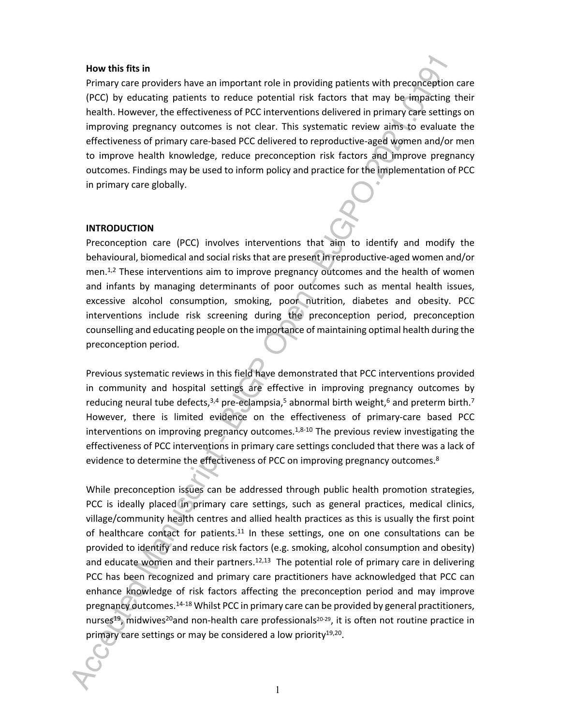#### **How this fits in**

Primary care providers have an important role in providing patients with preconception care (PCC) by educating patients to reduce potential risk factors that may be impacting their health. However, the effectiveness of PCC interventions delivered in primary care settings on improving pregnancy outcomes is not clear. This systematic review aims to evaluate the effectiveness of primary care-based PCC delivered to reproductive-aged women and/or men to improve health knowledge, reduce preconception risk factors and improve pregnancy outcomes. Findings may be used to inform policy and practice for the implementation of PCC in primary care globally.

#### **INTRODUCTION**

Preconception care (PCC) involves interventions that aim to identify and modify the behavioural, biomedical and social risks that are present in reproductive-aged women and/or men.<sup>1,2</sup> These interventions aim to improve pregnancy outcomes and the health of women and infants by managing determinants of poor outcomes such as mental health issues, excessive alcohol consumption, smoking, poor nutrition, diabetes and obesity. PCC interventions include risk screening during the preconception period, preconception counselling and educating people on the importance of maintaining optimal health during the preconception period.

Previous systematic reviews in this field have demonstrated that PCC interventions provided in community and hospital settings are effective in improving pregnancy outcomes by reducing neural tube defects,<sup>3,4</sup> pre-eclampsia,<sup>5</sup> abnormal birth weight,<sup>6</sup> and preterm birth.<sup>7</sup> However, there is limited evidence on the effectiveness of primary-care based PCC interventions on improving pregnancy outcomes. $1,8-10$  The previous review investigating the effectiveness of PCC interventions in primary care settings concluded that there was a lack of evidence to determine the effectiveness of PCC on improving pregnancy outcomes.<sup>8</sup>

While preconception issues can be addressed through public health promotion strategies, PCC is ideally placed in primary care settings, such as general practices, medical clinics, village/community health centres and allied health practices as this is usually the first point of healthcare contact for patients. $11$  In these settings, one on one consultations can be provided to identify and reduce risk factors (e.g. smoking, alcohol consumption and obesity) and educate women and their partners.<sup>12,13</sup> The potential role of primary care in delivering PCC has been recognized and primary care practitioners have acknowledged that PCC can enhance knowledge of risk factors affecting the preconception period and may improve pregnancy outcomes.<sup>14-18</sup> Whilst PCC in primary care can be provided by general practitioners, nurses<sup>19</sup>, midwives<sup>20</sup>and non-health care professionals<sup>20-29</sup>, it is often not routine practice in primary care settings or may be considered a low priority<sup>19,20</sup>.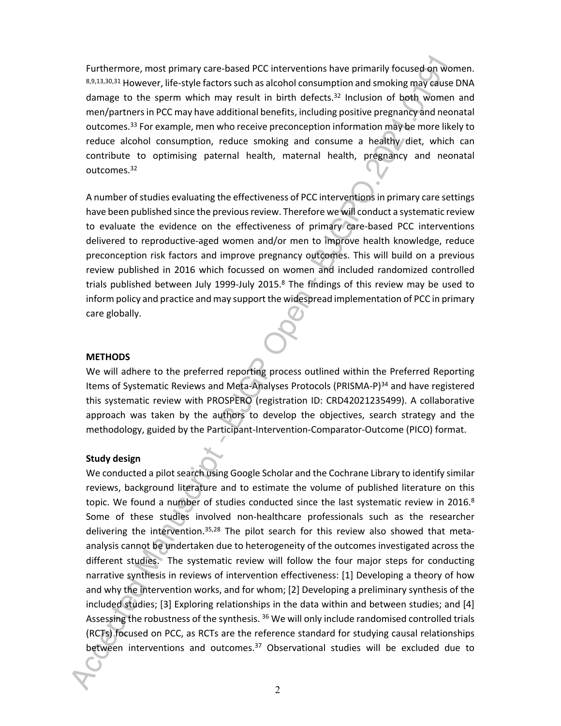Furthermore, most primary care-based PCC interventions have primarily focused on women. 8,9,13,30,31 However, life-style factors such as alcohol consumption and smoking may cause DNA damage to the sperm which may result in birth defects.<sup>32</sup> Inclusion of both women and men/partners in PCC may have additional benefits, including positive pregnancy and neonatal outcomes.<sup>33</sup> For example, men who receive preconception information may be more likely to reduce alcohol consumption, reduce smoking and consume a healthy diet, which can contribute to optimising paternal health, maternal health, pregnancy and neonatal outcomes.<sup>32</sup>

A number of studies evaluating the effectiveness of PCC interventions in primary care settings have been published since the previous review. Therefore we will conduct a systematic review to evaluate the evidence on the effectiveness of primary care-based PCC interventions delivered to reproductive-aged women and/or men to improve health knowledge, reduce preconception risk factors and improve pregnancy outcomes. This will build on a previous review published in 2016 which focussed on women and included randomized controlled trials published between July 1999-July 2015. $8$  The findings of this review may be used to inform policy and practice and may support the widespread implementation of PCC in primary care globally.

#### **METHODS**

We will adhere to the preferred reporting process outlined within the Preferred Reporting Items of Systematic Reviews and Meta-Analyses Protocols (PRISMA-P)<sup>34</sup> and have registered this systematic review with PROSPERO (registration ID: CRD42021235499). A collaborative approach was taken by the authors to develop the objectives, search strategy and the methodology, guided by the Participant-Intervention-Comparator-Outcome (PICO) format.

#### **Study design**

We conducted a pilot search using Google Scholar and the Cochrane Library to identify similar reviews, background literature and to estimate the volume of published literature on this topic. We found a number of studies conducted since the last systematic review in  $2016<sup>8</sup>$ Some of these studies involved non-healthcare professionals such as the researcher delivering the intervention.<sup>35,28</sup> The pilot search for this review also showed that metaanalysis cannot be undertaken due to heterogeneity of the outcomes investigated across the different studies. The systematic review will follow the four major steps for conducting narrative synthesis in reviews of intervention effectiveness: [1] Developing a theory of how and why the intervention works, and for whom; [2] Developing a preliminary synthesis of the included studies; [3] Exploring relationships in the data within and between studies; and [4] Assessing the robustness of the synthesis. <sup>36</sup> We will only include randomised controlled trials (RCTs) focused on PCC, as RCTs are the reference standard for studying causal relationships between interventions and outcomes.37 Observational studies will be excluded due to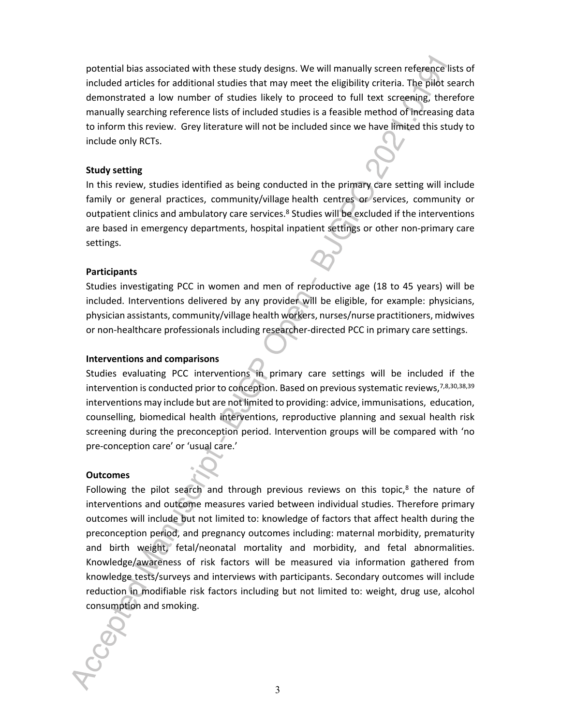potential bias associated with these study designs. We will manually screen reference lists of included articles for additional studies that may meet the eligibility criteria. The pilot search demonstrated a low number of studies likely to proceed to full text screening, therefore manually searching reference lists of included studies is a feasible method of increasing data to inform this review. Grey literature will not be included since we have limited this study to include only RCTs.

#### **Study setting**

In this review, studies identified as being conducted in the primary care setting will include family or general practices, community/village health centres or services, community or outpatient clinics and ambulatory care services.<sup>8</sup> Studies will be excluded if the interventions are based in emergency departments, hospital inpatient settings or other non-primary care settings.

#### **Participants**

Studies investigating PCC in women and men of reproductive age (18 to 45 years) will be included. Interventions delivered by any provider will be eligible, for example: physicians, physician assistants, community/village health workers, nurses/nurse practitioners, midwives or non-healthcare professionals including researcher-directed PCC in primary care settings.

#### **Interventions and comparisons**

Studies evaluating PCC interventions in primary care settings will be included if the intervention is conducted prior to conception. Based on previous systematic reviews, 7,8,30,38,39 interventions may include but are not limited to providing: advice, immunisations, education, counselling, biomedical health interventions, reproductive planning and sexual health risk screening during the preconception period. Intervention groups will be compared with 'no pre-conception care' or 'usual care.'

#### **Outcomes**

Following the pilot search and through previous reviews on this topic, $8$  the nature of interventions and outcome measures varied between individual studies. Therefore primary outcomes will include but not limited to: knowledge of factors that affect health during the preconception period, and pregnancy outcomes including: maternal morbidity, prematurity and birth weight, fetal/neonatal mortality and morbidity, and fetal abnormalities. Knowledge/awareness of risk factors will be measured via information gathered from knowledge tests/surveys and interviews with participants. Secondary outcomes will include reduction in modifiable risk factors including but not limited to: weight, drug use, alcohol consumption and smoking.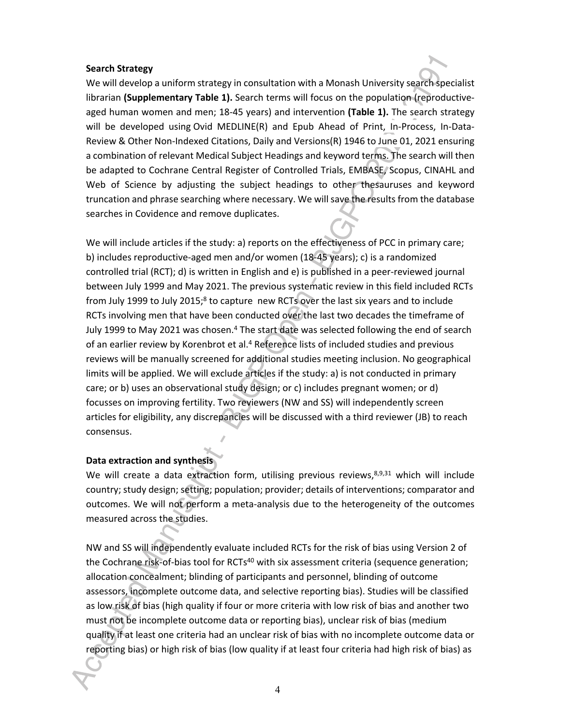#### **Search Strategy**

We will develop a uniform strategy in consultation with a Monash University search specialist librarian **(Supplementary Table 1).** Search terms will focus on the population (reproductiveaged human women and men; 18-45 years) and intervention **(Table 1).** The search strategy will be developed using Ovid MEDLINE(R) and Epub Ahead of Print, In-Process, In-Data-Review & Other Non-Indexed Citations, Daily and Versions(R) 1946 to June 01, 2021 ensuring a combination of relevant Medical Subject Headings and keyword terms. The search will then be adapted to Cochrane Central Register of Controlled Trials, EMBASE, Scopus, CINAHL and Web of Science by adjusting the subject headings to other thesauruses and keyword truncation and phrase searching where necessary. We will save the results from the database searches in Covidence and remove duplicates.

We will include articles if the study: a) reports on the effectiveness of PCC in primary care; b) includes reproductive-aged men and/or women (18-45 years); c) is a randomized controlled trial (RCT); d) is written in English and e) is published in a peer-reviewed journal between July 1999 and May 2021. The previous systematic review in this field included RCTs from July 1999 to July 2015;<sup>8</sup> to capture new RCTs over the last six years and to include RCTs involving men that have been conducted over the last two decades the timeframe of July 1999 to May 2021 was chosen.<sup>4</sup> The start date was selected following the end of search of an earlier review by Korenbrot et al.<sup>4</sup> Reference lists of included studies and previous reviews will be manually screened for additional studies meeting inclusion. No geographical limits will be applied. We will exclude articles if the study: a) is not conducted in primary care; or b) uses an observational study design; or c) includes pregnant women; or d) focusses on improving fertility. Two reviewers (NW and SS) will independently screen articles for eligibility, any discrepancies will be discussed with a third reviewer (JB) to reach consensus.

#### **Data extraction and synthesis**

We will create a data extraction form, utilising previous reviews, $8,9,31$  which will include country; study design; setting; population; provider; details of interventions; comparator and outcomes. We will not perform a meta-analysis due to the heterogeneity of the outcomes measured across the studies.

NW and SS will independently evaluate included RCTs for the risk of bias using Version 2 of the Cochrane risk-of-bias tool for RCTs<sup>40</sup> with six assessment criteria (sequence generation; allocation concealment; blinding of participants and personnel, blinding of outcome assessors, incomplete outcome data, and selective reporting bias). Studies will be classified as low risk of bias (high quality if four or more criteria with low risk of bias and another two must not be incomplete outcome data or reporting bias), unclear risk of bias (medium quality if at least one criteria had an unclear risk of bias with no incomplete outcome data or reporting bias) or high risk of bias (low quality if at least four criteria had high risk of bias) as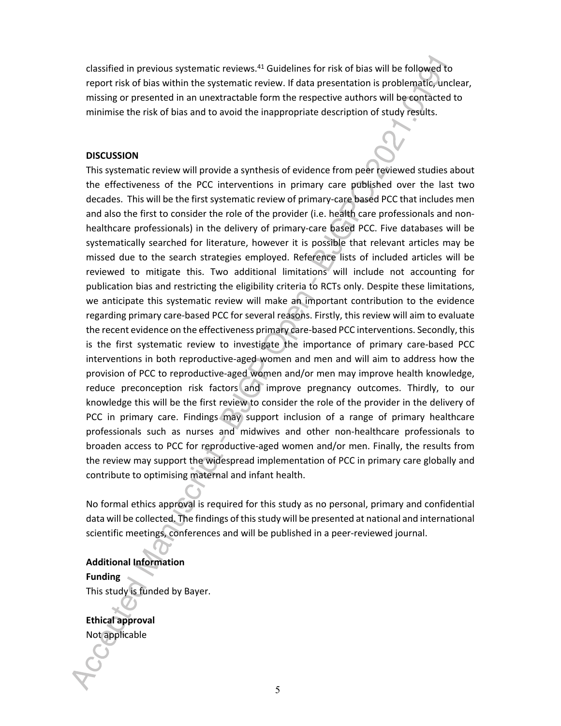classified in previous systematic reviews.<sup>41</sup> Guidelines for risk of bias will be followed to report risk of bias within the systematic review. If data presentation is problematic, unclear, missing or presented in an unextractable form the respective authors will be contacted to minimise the risk of bias and to avoid the inappropriate description of study results.

#### **DISCUSSION**

This systematic review will provide a synthesis of evidence from peer reviewed studies about the effectiveness of the PCC interventions in primary care published over the last two decades. This will be the first systematic review of primary-care based PCC that includes men and also the first to consider the role of the provider (i.e. health care professionals and nonhealthcare professionals) in the delivery of primary-care based PCC. Five databases will be systematically searched for literature, however it is possible that relevant articles may be missed due to the search strategies employed. Reference lists of included articles will be reviewed to mitigate this. Two additional limitations will include not accounting for publication bias and restricting the eligibility criteria to RCTs only. Despite these limitations, we anticipate this systematic review will make an important contribution to the evidence regarding primary care-based PCC for several reasons. Firstly, this review will aim to evaluate the recent evidence on the effectiveness primary care-based PCC interventions. Secondly, this is the first systematic review to investigate the importance of primary care-based PCC interventions in both reproductive-aged women and men and will aim to address how the provision of PCC to reproductive-aged women and/or men may improve health knowledge, reduce preconception risk factors and improve pregnancy outcomes. Thirdly, to our knowledge this will be the first review to consider the role of the provider in the delivery of PCC in primary care. Findings may support inclusion of a range of primary healthcare professionals such as nurses and midwives and other non-healthcare professionals to broaden access to PCC for reproductive-aged women and/or men. Finally, the results from the review may support the widespread implementation of PCC in primary care globally and contribute to optimising maternal and infant health.

No formal ethics approval is required for this study as no personal, primary and confidential data will be collected. The findings of this study will be presented at national and international scientific meetings, conferences and will be published in a peer-reviewed journal.

# **Additional Information**

**Funding**  This study is funded by Bayer.

**Ethical approval**  Not applicable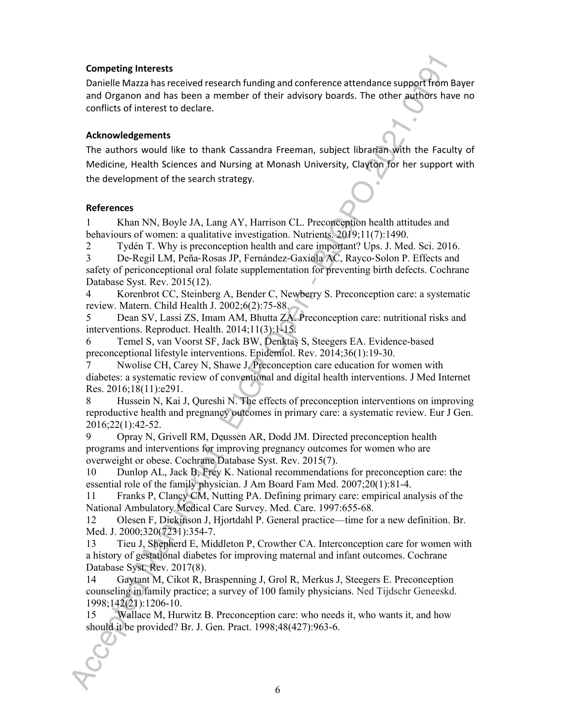#### **Competing Interests**

Danielle Mazza has received research funding and conference attendance support from Bayer and Organon and has been a member of their advisory boards. The other authors have no conflicts of interest to declare.

#### **Acknowledgements**

The authors would like to thank Cassandra Freeman, subject librarian with the Faculty of Medicine, Health Sciences and Nursing at Monash University, Clayton for her support with the development of the search strategy.

#### **References**

1 Khan NN, Boyle JA, Lang AY, Harrison CL. Preconception health attitudes and behaviours of women: a qualitative investigation. Nutrients. 2019;11(7):1490.

2 Tydén T. Why is preconception health and care important? Ups. J. Med. Sci. 2016.

3 De‐Regil LM, Peña‐Rosas JP, Fernández‐Gaxiola AC, Rayco‐Solon P. Effects and safety of periconceptional oral folate supplementation for preventing birth defects. Cochrane Database Syst. Rev. 2015(12).

4 Korenbrot CC, Steinberg A, Bender C, Newberry S. Preconception care: a systematic review. Matern. Child Health J. 2002;6(2):75-88.

5 Dean SV, Lassi ZS, Imam AM, Bhutta ZA. Preconception care: nutritional risks and interventions. Reproduct. Health. 2014;11(3):1-15.

6 Temel S, van Voorst SF, Jack BW, Denktaş S, Steegers EA. Evidence-based preconceptional lifestyle interventions. Epidemiol. Rev. 2014;36(1):19-30.

Nwolise CH, Carey N, Shawe J. Preconception care education for women with diabetes: a systematic review of conventional and digital health interventions. J Med Internet Res. 2016;18(11):e291.

8 Hussein N, Kai J, Qureshi N. The effects of preconception interventions on improving reproductive health and pregnancy outcomes in primary care: a systematic review. Eur J Gen. 2016;22(1):42-52.

9 Opray N, Grivell RM, Deussen AR, Dodd JM. Directed preconception health programs and interventions for improving pregnancy outcomes for women who are overweight or obese. Cochrane Database Syst. Rev. 2015(7).

10 Dunlop AL, Jack B, Frey K. National recommendations for preconception care: the essential role of the family physician. J Am Board Fam Med. 2007;20(1):81-4.

11 Franks P, Clancy CM, Nutting PA. Defining primary care: empirical analysis of the National Ambulatory Medical Care Survey. Med. Care. 1997:655-68.

12 Olesen F, Dickinson J, Hjortdahl P. General practice—time for a new definition. Br. Med. J. 2000;320(7231):354-7.

13 Tieu J, Shepherd E, Middleton P, Crowther CA. Interconception care for women with a history of gestational diabetes for improving maternal and infant outcomes. Cochrane Database Syst. Rev. 2017(8).

14 Gaytant M, Cikot R, Braspenning J, Grol R, Merkus J, Steegers E. Preconception counseling in family practice; a survey of 100 family physicians. Ned Tijdschr Geneeskd. 1998;142(21):1206-10.

15 Wallace M, Hurwitz B. Preconception care: who needs it, who wants it, and how should it be provided? Br. J. Gen. Pract. 1998;48(427):963-6.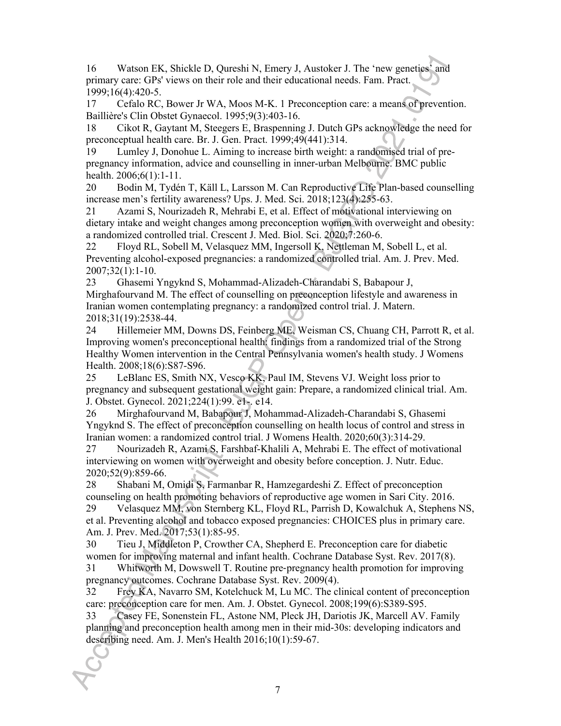16 Watson EK, Shickle D, Qureshi N, Emery J, Austoker J. The 'new genetics' and primary care: GPs' views on their role and their educational needs. Fam. Pract. 1999;16(4):420-5.

17 Cefalo RC, Bower Jr WA, Moos M-K. 1 Preconception care: a means of prevention. Baillière's Clin Obstet Gynaecol. 1995;9(3):403-16.

18 Cikot R, Gaytant M, Steegers E, Braspenning J. Dutch GPs acknowledge the need for preconceptual health care. Br. J. Gen. Pract. 1999;49(441):314.

19 Lumley J, Donohue L. Aiming to increase birth weight: a randomised trial of prepregnancy information, advice and counselling in inner-urban Melbourne. BMC public health. 2006;6(1):1-11.

20 Bodin M, Tydén T, Käll L, Larsson M. Can Reproductive Life Plan-based counselling increase men's fertility awareness? Ups. J. Med. Sci. 2018;123(4):255-63.

21 Azami S, Nourizadeh R, Mehrabi E, et al. Effect of motivational interviewing on dietary intake and weight changes among preconception women with overweight and obesity: a randomized controlled trial. Crescent J. Med. Biol. Sci. 2020;7:260-6.

22 Floyd RL, Sobell M, Velasquez MM, Ingersoll K, Nettleman M, Sobell L, et al. Preventing alcohol-exposed pregnancies: a randomized controlled trial. Am. J. Prev. Med. 2007;32(1):1-10.

23 Ghasemi Yngyknd S, Mohammad-Alizadeh-Charandabi S, Babapour J, Mirghafourvand M. The effect of counselling on preconception lifestyle and awareness in Iranian women contemplating pregnancy: a randomized control trial. J. Matern. 2018;31(19):2538-44.

24 Hillemeier MM, Downs DS, Feinberg ME, Weisman CS, Chuang CH, Parrott R, et al. Improving women's preconceptional health: findings from a randomized trial of the Strong Healthy Women intervention in the Central Pennsylvania women's health study. J Womens Health. 2008;18(6):S87-S96.

25 LeBlanc ES, Smith NX, Vesco KK, Paul IM, Stevens VJ. Weight loss prior to pregnancy and subsequent gestational weight gain: Prepare, a randomized clinical trial. Am. J. Obstet. Gynecol. 2021;224(1):99. e1-. e14.

26 Mirghafourvand M, Babapour J, Mohammad-Alizadeh-Charandabi S, Ghasemi Yngyknd S. The effect of preconception counselling on health locus of control and stress in Iranian women: a randomized control trial. J Womens Health. 2020;60(3):314-29.

27 Nourizadeh R, Azami S, Farshbaf-Khalili A, Mehrabi E. The effect of motivational interviewing on women with overweight and obesity before conception. J. Nutr. Educ. 2020;52(9):859-66.

28 Shabani M, Omidi S, Farmanbar R, Hamzegardeshi Z. Effect of preconception counseling on health promoting behaviors of reproductive age women in Sari City. 2016.

29 Velasquez MM, von Sternberg KL, Floyd RL, Parrish D, Kowalchuk A, Stephens NS, et al. Preventing alcohol and tobacco exposed pregnancies: CHOICES plus in primary care. Am. J. Prev. Med. 2017;53(1):85-95.

30 Tieu J, Middleton P, Crowther CA, Shepherd E. Preconception care for diabetic women for improving maternal and infant health. Cochrane Database Syst. Rev. 2017(8).

31 Whitworth M, Dowswell T. Routine pre‐pregnancy health promotion for improving pregnancy outcomes. Cochrane Database Syst. Rev. 2009(4).

32 Frey KA, Navarro SM, Kotelchuck M, Lu MC. The clinical content of preconception care: preconception care for men. Am. J. Obstet. Gynecol. 2008;199(6):S389-S95.

33 Casey FE, Sonenstein FL, Astone NM, Pleck JH, Dariotis JK, Marcell AV. Family planning and preconception health among men in their mid-30s: developing indicators and describing need. Am. J. Men's Health 2016;10(1):59-67.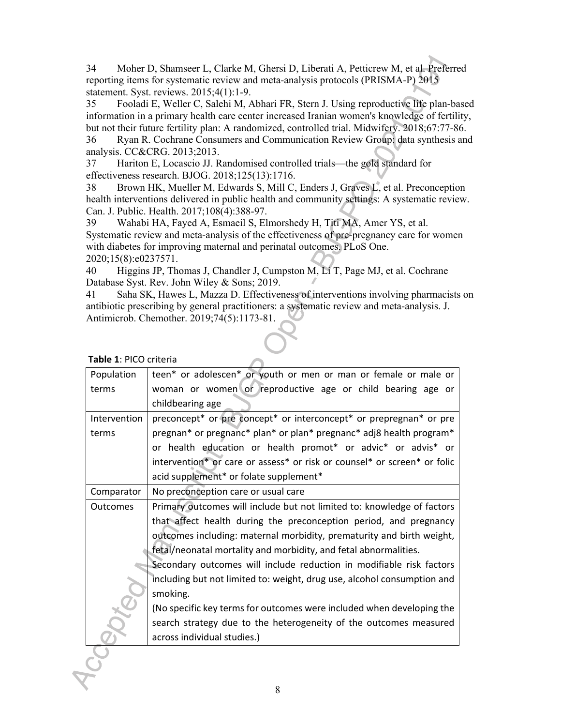34 Moher D, Shamseer L, Clarke M, Ghersi D, Liberati A, Petticrew M, et al. Preferred reporting items for systematic review and meta-analysis protocols (PRISMA-P) 2015 statement. Syst. reviews. 2015;4(1):1-9.

35 Fooladi E, Weller C, Salehi M, Abhari FR, Stern J. Using reproductive life plan-based information in a primary health care center increased Iranian women's knowledge of fertility, but not their future fertility plan: A randomized, controlled trial. Midwifery. 2018;67:77-86.

36 Ryan R. Cochrane Consumers and Communication Review Group: data synthesis and analysis. CC&CRG. 2013;2013.

37 Hariton E, Locascio JJ. Randomised controlled trials—the gold standard for effectiveness research. BJOG. 2018;125(13):1716.

38 Brown HK, Mueller M, Edwards S, Mill C, Enders J, Graves L, et al. Preconception health interventions delivered in public health and community settings: A systematic review. Can. J. Public. Health. 2017;108(4):388-97.

39 Wahabi HA, Fayed A, Esmaeil S, Elmorshedy H, Titi MA, Amer YS, et al. Systematic review and meta-analysis of the effectiveness of pre-pregnancy care for women with diabetes for improving maternal and perinatal outcomes. PLoS One. 2020;15(8):e0237571.

40 Higgins JP, Thomas J, Chandler J, Cumpston M, Li T, Page MJ, et al. Cochrane Database Syst. Rev. John Wiley & Sons; 2019.

41 Saha SK, Hawes L, Mazza D. Effectiveness of interventions involving pharmacists on antibiotic prescribing by general practitioners: a systematic review and meta-analysis. J. Antimicrob. Chemother. 2019;74(5):1173-81.

| Population      | teen* or adolescen* or youth or men or man or female or male or          |
|-----------------|--------------------------------------------------------------------------|
| terms           | woman or women or reproductive age or child bearing age or               |
|                 | childbearing age                                                         |
| Intervention    | preconcept* or pre concept* or interconcept* or prepregnan* or pre       |
| terms           | pregnan* or pregnanc* plan* or plan* pregnanc* adj8 health program*      |
|                 | or health education or health promot* or advic* or advis* or             |
|                 | intervention* or care or assess* or risk or counsel* or screen* or folic |
|                 | acid supplement* or folate supplement*                                   |
| Comparator      | No preconception care or usual care                                      |
| <b>Outcomes</b> | Primary outcomes will include but not limited to: knowledge of factors   |
|                 | that affect health during the preconception period, and pregnancy        |
|                 | outcomes including: maternal morbidity, prematurity and birth weight,    |
|                 | fetal/neonatal mortality and morbidity, and fetal abnormalities.         |
|                 | Secondary outcomes will include reduction in modifiable risk factors     |
|                 | including but not limited to: weight, drug use, alcohol consumption and  |
|                 | smoking.                                                                 |
|                 | (No specific key terms for outcomes were included when developing the    |
|                 | search strategy due to the heterogeneity of the outcomes measured        |
|                 | across individual studies.)                                              |
|                 |                                                                          |

 **Table 1**: PICO criteria